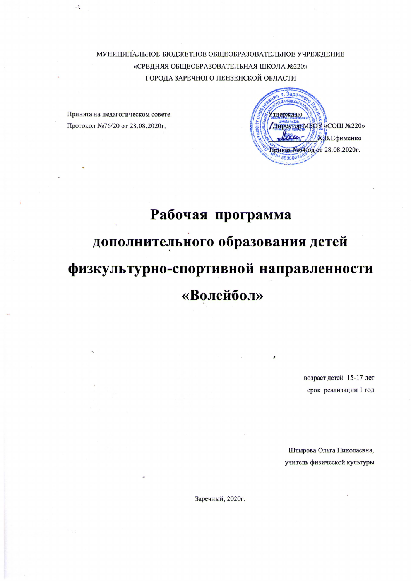МУНИЦИПАЛЬНОЕ БЮДЖЕТНОЕ ОБЩЕОБРАЗОВАТЕЛЬНОЕ УЧРЕЖДЕНИЕ «СРЕДНЯЯ ОБЩЕОБРАЗОВАТЕЛЬНАЯ ШКОЛА №220» ГОРОДА ЗАРЕЧНОГО ПЕНЗЕНСКОЙ ОБЛАСТИ

Принята на педагогическом совете. Протокол №76/20 от 28.08.2020г.

 $\overline{a}$ 



# Рабочая программа дополнительного образования детей физкультурно-спортивной направленности «Волейбол»

возраст детей 15-17 лет срок реализации 1 год

Штырова Ольга Николаевна, учитель физической культуры

Заречный, 2020г.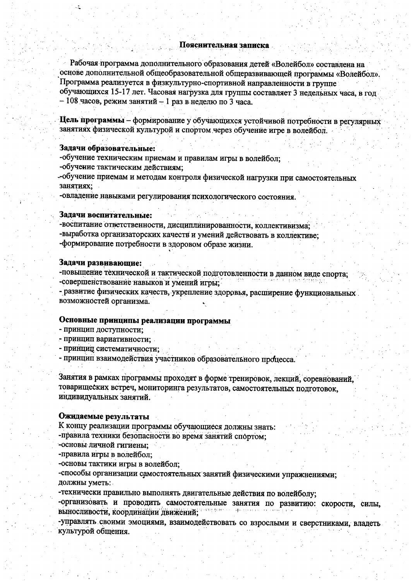Рабочая программа дополнительного образования детей «Волейбол» составлена на основе дополнительной общеобразовательной общеразвивающей программы «Волейбол». Программа реализуется в физкультурно-спортивной направленности в группе обучающихся 15-17 лет. Часовая нагрузка для группы составляет 3 недельных часа, в год  $-108$  часов, режим занятий - 1 раз в неделю по 3 часа.

Цель программы - формирование у обучающихся устойчивой потребности в регулярных занятиях физической культурой и спортом через обучение игре в волейбол.

#### Задачи образовательные:

-обучение техническим приемам и правилам игры в волейбол;

-обучение тактическим действиям;

-обучение приемам и методам контроля физической нагрузки при самостоятельных занятиях:

-овладение навыками регулирования психологического состояния.

#### Задачи воспитательные:

-воспитание ответственности, дисциплинированности, коллективизма; -выработка организаторских качеств и умений действовать в коллективе: -формирование потребности в здоровом образе жизни.

#### Задачи развивающие:

-повышение технической и тактической подготовленности в данном виде спорта; -совершенствование навыков и умений игры;

- развитие физических качеств, укрепление здоровья, расширение функциональных возможностей организма.

#### Основные принципы реализации программы

- принцип доступности:
- принцип вариативности;
- принцип систематичности;

- принцип взаимодействия участников образовательного процесса.

Занятия в рамках программы проходят в форме тренировок, лекций, соревнований, товарищеских встреч, мониторинга результатов, самостоятельных подготовок, индивидуальных занятий.

#### Ожидаемые результаты

К концу реализации программы обучающиеся должны знать: -правила техники безопасности во время занятий спортом;

-основы личной гигиены:

-правила игры в волейбол;

-основы тактики игры в волейбол;

-способы организации самостоятельных занятий физическими упражнениями; должны уметь:

-технически правильно выполнять двигательные действия по волейболу;

-организовать и проводить самостоятельные занятия по развитию: скорости, силы, выносливости, координации движений;

-управлять своими эмоциями, взаимодействовать со взрослыми и сверстниками, владеть культурой общения.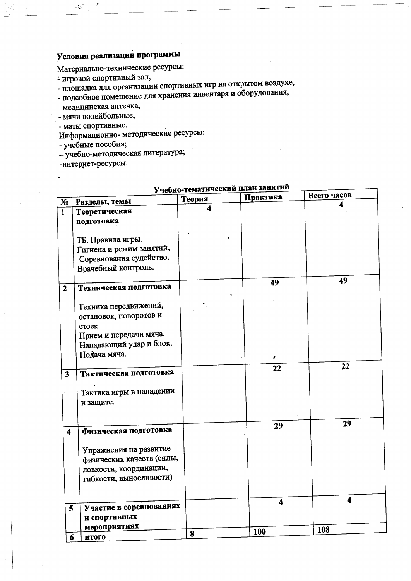# Условия реализации программы

Материально-технические ресурсы:

- игровой спортивный зал,
- площадка для организации спортивных игр на открытом воздухе,
- подсобное помещение для хранения инвентаря и оборудования,
- медицинская аптечка,
- мячи волейбольные,
- маты спортивные.

المحمد المتحين

Информационно-методические ресурсы:

- учебные пособия;

- учебно-методическая литература;
- -интернет-ресурсы.

|                         |                                               | учебно-тематический п<br>Теория | Практика                | Всего часов |
|-------------------------|-----------------------------------------------|---------------------------------|-------------------------|-------------|
| $N_2$                   | Разделы, темы                                 |                                 |                         |             |
| $\mathbf{1}$            | Теоретическая                                 |                                 |                         |             |
|                         | подготовка                                    |                                 |                         |             |
|                         |                                               |                                 |                         |             |
|                         | ТБ. Правила игры.<br>Гигиена и режим занятий, |                                 |                         |             |
|                         | Соревнования судейство.                       |                                 |                         |             |
|                         | Врачебный контроль.                           |                                 |                         |             |
|                         |                                               |                                 |                         |             |
| $\mathbf{2}$            | Техническая подготовка                        |                                 | 49                      | 49          |
|                         |                                               |                                 |                         |             |
|                         | Техника передвижений,                         |                                 |                         |             |
|                         | остановок, поворотов и                        |                                 |                         |             |
|                         | стоек.                                        |                                 |                         |             |
|                         | Прием и передачи мяча.                        |                                 |                         |             |
|                         | Нападающий удар и блок.                       |                                 |                         |             |
|                         | Подача мяча.                                  |                                 |                         |             |
|                         |                                               |                                 |                         | 22          |
| $\mathbf{3}$            | Тактическая подготовка                        |                                 | 22                      |             |
|                         |                                               |                                 |                         |             |
|                         | Тактика игры в нападении                      |                                 |                         |             |
|                         | и защите.                                     |                                 |                         |             |
|                         |                                               |                                 |                         |             |
|                         |                                               |                                 | 29                      | 29          |
| $\overline{\mathbf{4}}$ | Физическая подготовка                         |                                 |                         |             |
|                         |                                               |                                 |                         |             |
|                         | Упражнения на развитие                        |                                 |                         |             |
|                         | физических качеств (силы,                     |                                 |                         |             |
|                         | ловкости, координации,                        |                                 |                         |             |
|                         | гибкости, выносливости)                       |                                 |                         |             |
|                         |                                               |                                 |                         |             |
|                         |                                               |                                 | $\overline{\mathbf{4}}$ | 4           |
| 5                       | Участие в соревнованиях                       |                                 |                         |             |
|                         | и спортивных                                  |                                 |                         |             |
|                         | мероприятиях                                  | 8                               | 100                     | 108         |
| 6                       | итого                                         |                                 |                         |             |

# матический план занятий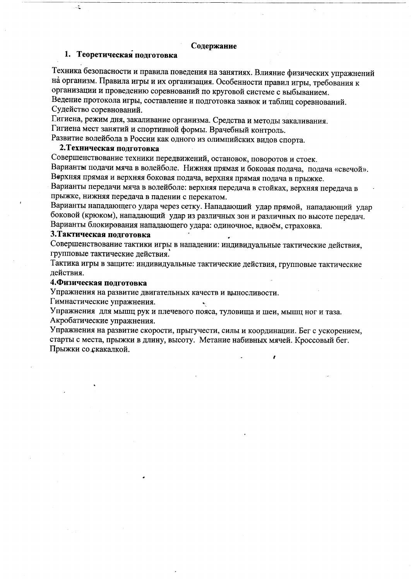#### Содержание

### 1. Теоретическая подготовка

Техника безопасности и правила поведения на занятиях. Влияние физических упражнений на организм. Правила игры и их организация. Особенности правил игры, требования к организации и проведению соревнований по круговой системе с выбыванием. Ведение протокола игры, составление и подготовка заявок и таблиц соревнований.

Судейство соревнований.

Гигиена, режим дня, закаливание организма. Средства и методы закаливания.

Гигиена мест занятий и спортивной формы. Врачебный контроль.

Развитие волейбола в России как одного из олимпийских видов спорта.

## 2. Техническая подготовка

Совершенствование техники передвижений, остановок, поворотов и стоек.

Варианты подачи мяча в волейболе. Нижняя прямая и боковая подача, подача «свечой». Верхняя прямая и верхняя боковая подача, верхняя прямая подача в прыжке.

Варианты передачи мяча в волейболе: верхняя передача в стойках, верхняя передача в прыжке, нижняя передача в падении с перекатом.

Варианты нападающего удара через сетку. Нападающий удар прямой, нападающий удар боковой (крюком), нападающий удар из различных зон и различных по высоте передач. Варианты блокирования нападающего удара: одиночное, вдвоём, страховка.

#### 3. Тактическая подготовка

Совершенствование тактики игры в нападении: индивидуальные тактические действия, групповые тактические действия.

Тактика игры в защите: индивидуальные тактические действия, групповые тактические действия.

#### 4. Физическая подготовка

Упражнения на развитие двигательных качеств и выносливости.

Гимнастические упражнения.

Упражнения для мышц рук и плечевого пояса, туловища и шеи, мышц ног и таза. Акробатические упражнения.

Упражнения на развитие скорости, прыгучести, силы и координации. Бег с ускорением, старты с места, прыжки в длину, высоту. Метание набивных мячей. Кроссовый бег. Прыжки со скакалкой.